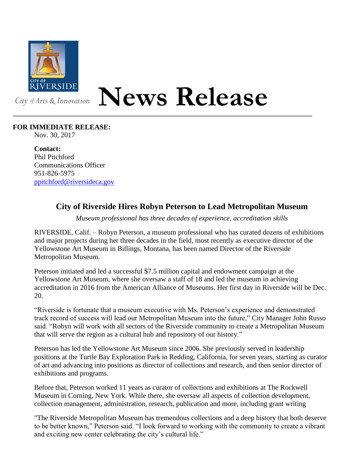

## **News Release**

## **FOR IMMEDIATE RELEASE:**

Nov. 30, 2017

**Contact:** Phil Pitchford Communications Officer 951-826-5975 [ppitchford@riversideca.gov](mailto:ppitchford@riversideca.gov)

## **City of Riverside Hires Robyn Peterson to Lead Metropolitan Museum**

*Museum professional has three decades of experience, accreditation skills*

RIVERSIDE, Calif. – Robyn Peterson, a museum professional who has curated dozens of exhibitions and major projects during her three decades in the field, most recently as executive director of the Yellowstone Art Museum in Billings, Montana, has been named Director of the Riverside Metropolitan Museum.

Peterson initiated and led a successful \$7.5 million capital and endowment campaign at the Yellowstone Art Museum, where she oversaw a staff of 18 and led the museum in achieving accreditation in 2016 from the American Alliance of Museums. Her first day in Riverside will be Dec. 20.

"Riverside is fortunate that a museum executive with Ms. Peterson's experience and demonstrated track record of success will lead our Metropolitan Museum into the future," City Manager John Russo said. "Robyn will work with all sectors of the Riverside community to create a Metropolitan Museum that will serve the region as a cultural hub and repository of our history."

Peterson has led the Yellowstone Art Museum since 2006. She previously served in leadership positions at the Turtle Bay Exploration Park in Redding, California, for seven years, starting as curator of art and advancing into positions as director of collections and research, and then senior director of exhibitions and programs.

Before that, Peterson worked 11 years as curator of collections and exhibitions at The Rockwell Museum in Corning, New York. While there, she oversaw all aspects of collection development, collection management, administration, research, publication and more, including grant writing

"The Riverside Metropolitan Museum has tremendous collections and a deep history that both deserve to be better known," Peterson said. "I look forward to working with the community to create a vibrant and exciting new center celebrating the city's cultural life."